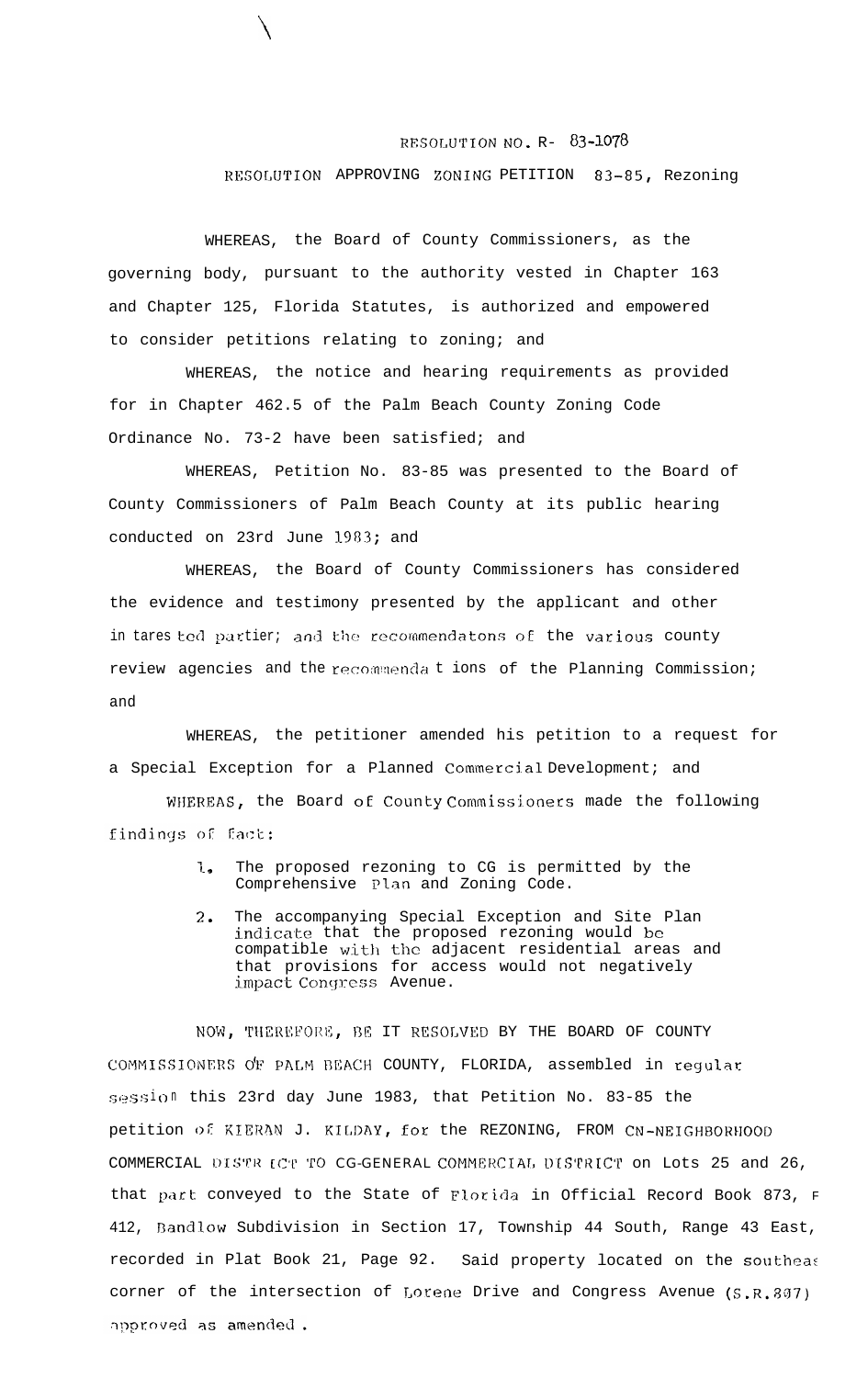## RESOLUTION NO. R- 83-1078

## RFSOLUTION APPROVING ZONING PETITION 83-85, Rezoning

WHEREAS, the Board of County Commissioners, as the governing body, pursuant to the authority vested in Chapter 163 and Chapter 125, Florida Statutes, is authorized and empowered to consider petitions relating to zoning; and

 $\setminus$ 

WHEREAS, the notice and hearing requirements as provided for in Chapter 462.5 of the Palm Beach County Zoning Code Ordinance No. 73-2 have been satisfied; and

WHEREAS, Petition No. 83-85 was presented to the Board of County Commissioners of Palm Beach County at its public hearing conducted on 23rd June 1383; and

WHEREAS, the Board of County Commissioners has considered the evidence and testimony presented by the applicant and other in tares ted partier; and the recommendatons of the various county review agencies and the recommendations of the Planning Commission; and

WHEREAS, the petitioner amended his petition to a request for a Special Exception for a Planned Commercial Development; and

WHEREAS, the Board of County Commissioners made the following findings of fact:

- 1. The proposed rezoning to CG is permitted by the Comprehensive Plan and Zoning Code.
- 7-. The accompanying Special Exception and Site Plan indicate that the proposed rezoning would be compatible with the adjacent residential areas and that provisions for access would not negatively impact Conqrcss Avenue.

NOW, THEREFORE, BE IT RESOLVED BY THE BOARD OF COUNTY COMMISSIONERS OF PALM BEACH COUNTY, FLORIDA, assembled in regular session this 23rd day June 1983, that Petition No. 83-85 the petition of KIERAN J. KILDAY, for the REZONING, FROM CN-NEIGHBORHOOD COMMERCIAL DISTR (CT TO CG-GENERAL COMMERCIAL DISTRICT on Lots 25 and 26, that part conveyed to the State of Florida in Official Record Book 873, F 412, Bandlow Subdivision in Section 17, Township 44 South, Range 43 East, recorded in Plat Book 21, Page 92. Said property located on the southea: corner of the intersection of Lorene Drive and Congress Avenue (S.R.807) approved as amended.